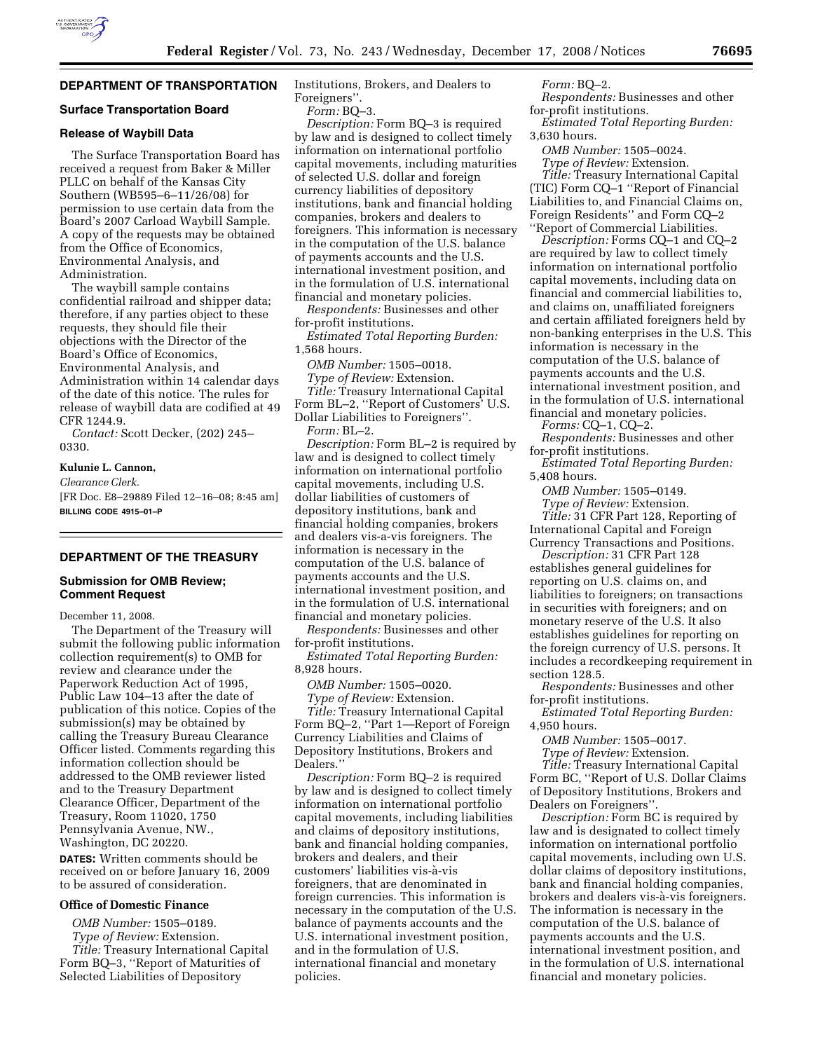# **DEPARTMENT OF TRANSPORTATION**

### **Surface Transportation Board**

### **Release of Waybill Data**

The Surface Transportation Board has received a request from Baker & Miller PLLC on behalf of the Kansas City Southern (WB595–6–11/26/08) for permission to use certain data from the Board's 2007 Carload Waybill Sample. A copy of the requests may be obtained from the Office of Economics, Environmental Analysis, and Administration.

The waybill sample contains confidential railroad and shipper data; therefore, if any parties object to these requests, they should file their objections with the Director of the Board's Office of Economics, Environmental Analysis, and Administration within 14 calendar days of the date of this notice. The rules for release of waybill data are codified at 49 CFR 1244.9.

*Contact:* Scott Decker, (202) 245– 0330.

#### **Kulunie L. Cannon,**

*Clearance Clerk.* 

[FR Doc. E8–29889 Filed 12–16–08; 8:45 am] **BILLING CODE 4915–01–P** 

### **DEPARTMENT OF THE TREASURY**

### **Submission for OMB Review; Comment Request**

December 11, 2008.

The Department of the Treasury will submit the following public information collection requirement(s) to OMB for review and clearance under the Paperwork Reduction Act of 1995, Public Law 104–13 after the date of publication of this notice. Copies of the submission(s) may be obtained by calling the Treasury Bureau Clearance Officer listed. Comments regarding this information collection should be addressed to the OMB reviewer listed and to the Treasury Department Clearance Officer, Department of the Treasury, Room 11020, 1750 Pennsylvania Avenue, NW., Washington, DC 20220.

**DATES:** Written comments should be received on or before January 16, 2009 to be assured of consideration.

# **Office of Domestic Finance**

*OMB Number:* 1505–0189.

*Type of Review:* Extension. *Title:* Treasury International Capital Form BQ–3, ''Report of Maturities of Selected Liabilities of Depository

Institutions, Brokers, and Dealers to Foreigners''.

*Form:* BQ–3.

*Description:* Form BQ–3 is required by law and is designed to collect timely information on international portfolio capital movements, including maturities of selected U.S. dollar and foreign currency liabilities of depository institutions, bank and financial holding companies, brokers and dealers to foreigners. This information is necessary in the computation of the U.S. balance of payments accounts and the U.S. international investment position, and in the formulation of U.S. international financial and monetary policies.

*Respondents:* Businesses and other for-profit institutions.

*Estimated Total Reporting Burden:*  1,568 hours.

*OMB Number:* 1505–0018. *Type of Review:* Extension. *Title:* Treasury International Capital Form BL–2, ''Report of Customers' U.S. Dollar Liabilities to Foreigners''. *Form:* BL–2.

*Description:* Form BL–2 is required by law and is designed to collect timely information on international portfolio capital movements, including U.S. dollar liabilities of customers of depository institutions, bank and financial holding companies, brokers and dealers vis-a-vis foreigners. The information is necessary in the computation of the U.S. balance of payments accounts and the U.S. international investment position, and in the formulation of U.S. international financial and monetary policies.

*Respondents:* Businesses and other for-profit institutions.

*Estimated Total Reporting Burden:*  8,928 hours.

*OMB Number:* 1505–0020.

*Type of Review:* Extension.

*Title:* Treasury International Capital Form BQ–2, ''Part 1—Report of Foreign Currency Liabilities and Claims of Depository Institutions, Brokers and Dealers.'

*Description:* Form BQ–2 is required by law and is designed to collect timely information on international portfolio capital movements, including liabilities and claims of depository institutions, bank and financial holding companies, brokers and dealers, and their customers' liabilities vis-a`-vis foreigners, that are denominated in foreign currencies. This information is necessary in the computation of the U.S. balance of payments accounts and the U.S. international investment position, and in the formulation of U.S. international financial and monetary policies.

*Form:* BQ–2.

*Respondents:* Businesses and other for-profit institutions.

*Estimated Total Reporting Burden:*  3,630 hours.

*OMB Number:* 1505–0024.

*Type of Review:* Extension. *Title:* Treasury International Capital (TIC) Form CQ–1 ''Report of Financial Liabilities to, and Financial Claims on, Foreign Residents'' and Form CQ–2 ''Report of Commercial Liabilities.

*Description:* Forms CQ–1 and CQ–2 are required by law to collect timely information on international portfolio capital movements, including data on financial and commercial liabilities to, and claims on, unaffiliated foreigners and certain affiliated foreigners held by non-banking enterprises in the U.S. This information is necessary in the computation of the U.S. balance of payments accounts and the U.S. international investment position, and in the formulation of U.S. international financial and monetary policies.

*Forms:* CQ–1, CQ–2.

*Respondents:* Businesses and other for-profit institutions.

*Estimated Total Reporting Burden:*  5,408 hours.

*OMB Number:* 1505–0149.

*Type of Review:* Extension. *Title:* 31 CFR Part 128, Reporting of International Capital and Foreign Currency Transactions and Positions.

*Description:* 31 CFR Part 128 establishes general guidelines for reporting on U.S. claims on, and liabilities to foreigners; on transactions in securities with foreigners; and on monetary reserve of the U.S. It also establishes guidelines for reporting on the foreign currency of U.S. persons. It includes a recordkeeping requirement in section 128.5.

*Respondents:* Businesses and other for-profit institutions.

*Estimated Total Reporting Burden:*  4,950 hours.

*OMB Number:* 1505–0017.

*Type of Review:* Extension.

*Title:* Treasury International Capital Form BC, ''Report of U.S. Dollar Claims of Depository Institutions, Brokers and Dealers on Foreigners''.

*Description:* Form BC is required by law and is designated to collect timely information on international portfolio capital movements, including own U.S. dollar claims of depository institutions, bank and financial holding companies, brokers and dealers vis-à-vis foreigners. The information is necessary in the computation of the U.S. balance of payments accounts and the U.S. international investment position, and in the formulation of U.S. international financial and monetary policies.